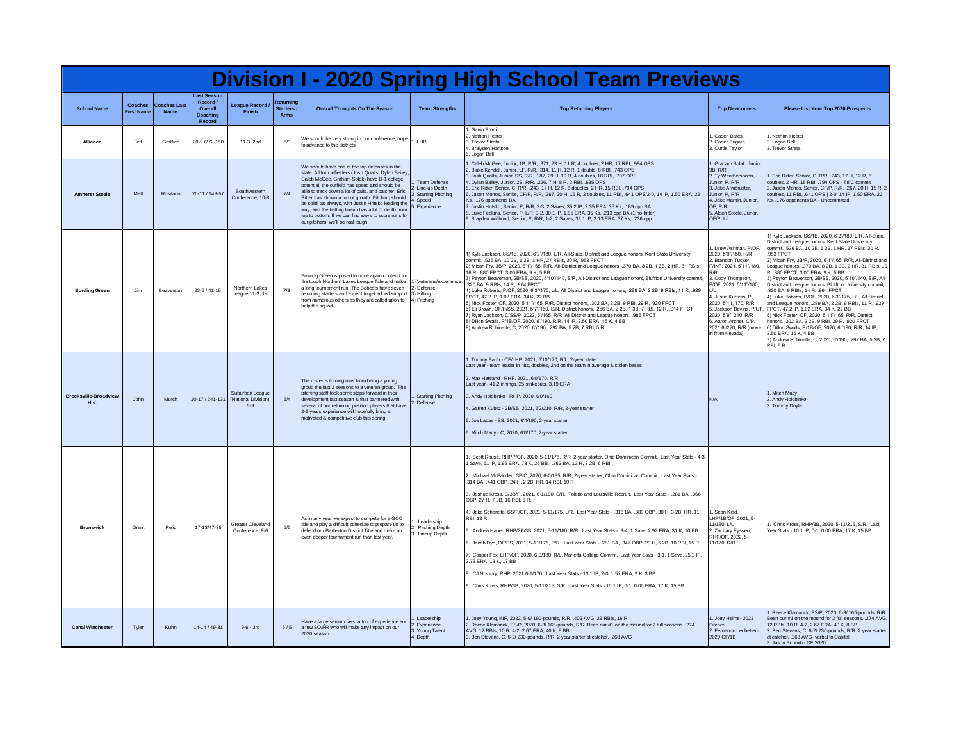| <b>Division I - 2020 Spring High School Team Previews</b> |                                    |                                    |                                                                 |                                                 |                                        |                                                                                                                                                                                                                                                                                                                                                                                                                                                                                                                                    |                                                                                       |                                                                                                                                                                                                                                                                                                                                                                                                                                                                                                                                                                                                                                                                                                                                                                                                                                                                                                                                                                                                                                                                                                                                                                           |                                                                                                                                                                                                                                                                                                                                      |                                                                                                                                                                                                                                                                                                                                                                                                                                                                                                                                                                                                                                                                                                                                                                                                                                                                                                                                   |
|-----------------------------------------------------------|------------------------------------|------------------------------------|-----------------------------------------------------------------|-------------------------------------------------|----------------------------------------|------------------------------------------------------------------------------------------------------------------------------------------------------------------------------------------------------------------------------------------------------------------------------------------------------------------------------------------------------------------------------------------------------------------------------------------------------------------------------------------------------------------------------------|---------------------------------------------------------------------------------------|---------------------------------------------------------------------------------------------------------------------------------------------------------------------------------------------------------------------------------------------------------------------------------------------------------------------------------------------------------------------------------------------------------------------------------------------------------------------------------------------------------------------------------------------------------------------------------------------------------------------------------------------------------------------------------------------------------------------------------------------------------------------------------------------------------------------------------------------------------------------------------------------------------------------------------------------------------------------------------------------------------------------------------------------------------------------------------------------------------------------------------------------------------------------------|--------------------------------------------------------------------------------------------------------------------------------------------------------------------------------------------------------------------------------------------------------------------------------------------------------------------------------------|-----------------------------------------------------------------------------------------------------------------------------------------------------------------------------------------------------------------------------------------------------------------------------------------------------------------------------------------------------------------------------------------------------------------------------------------------------------------------------------------------------------------------------------------------------------------------------------------------------------------------------------------------------------------------------------------------------------------------------------------------------------------------------------------------------------------------------------------------------------------------------------------------------------------------------------|
| <b>School Name</b>                                        | <b>Coaches</b><br><b>First Nam</b> | <b>Coaches Last</b><br><b>Name</b> | <b>Last Season</b><br>Record /<br>Overall<br>Coaching<br>Record | League Record /<br><b>Finish</b>                | Returning<br>Starters /<br><b>Arms</b> | <b>Overall Thoughts On The Season</b>                                                                                                                                                                                                                                                                                                                                                                                                                                                                                              | <b>Team Strengths</b>                                                                 | <b>Top Returning Players</b>                                                                                                                                                                                                                                                                                                                                                                                                                                                                                                                                                                                                                                                                                                                                                                                                                                                                                                                                                                                                                                                                                                                                              | <b>Top Newcomers</b>                                                                                                                                                                                                                                                                                                                 | Please List Your Top 2020 Prospects                                                                                                                                                                                                                                                                                                                                                                                                                                                                                                                                                                                                                                                                                                                                                                                                                                                                                               |
| Alliance                                                  | .leff                              | Graffice                           | 20-9 /272-150                                                   | 11-3.2nd                                        | 5/3                                    | We should be very strong in our conference, hope<br>to advance to the districts                                                                                                                                                                                                                                                                                                                                                                                                                                                    | <b>LHP</b>                                                                            | . Gavin Bruni<br>2. Nathan Heater<br>3. Trevor Strata<br>4. Braivden Hartsoe<br>5. Logan Bell                                                                                                                                                                                                                                                                                                                                                                                                                                                                                                                                                                                                                                                                                                                                                                                                                                                                                                                                                                                                                                                                             | Caden Bates<br>2. Carter Bugara<br>3. Curtis Taylor                                                                                                                                                                                                                                                                                  | Nathan Heater<br>2. Logan Bell<br>3. Trevor Strata                                                                                                                                                                                                                                                                                                                                                                                                                                                                                                                                                                                                                                                                                                                                                                                                                                                                                |
| <b>Amherst Steele</b>                                     | Matt                               | Rositano                           | 20-11/149-57                                                    | Southwestern<br>Conference, 10-8                | 7/4                                    | We should have one of the top defenses in the<br>state. All four infielders (Josh Qualls, Dylan Bailey<br>Caleb McGee, Graham Solak) have D-1 college<br>potential, the outfield has speed and should be<br>able to track down a lot of balls, and catcher. Fric<br>Ritter has shown a ton of growth. Pitching should<br>be solid, as always, with Justin Hritsko leading the<br>way, and the batting lineup has a lot of depth from<br>top to bottom. If we can find ways to score runs for<br>our pitchers, we'll be real tough. | Team Defense<br>2. Line-up Depth<br>3. Starting Pitching<br>4. Speed<br>5. Experience | . Caleb McGee, Junior, 1B, R/R, .371, 23 H, 11 R, 4 doubles, 2 HR, 17 RBI, .984 OPS<br>2. Blake Kendall, Junior, LF, R/R, .314, 11 H, 12 R, 1 double, 8 RBI, .743 OPS<br>3. Josh Qualls, Junior, SS, R/R, .287, 29 H, 19 R, 4 doubles, 18 RBI, .707 OPS<br>4. Dylan Bailey, Junior, 2B, R/R, .226, 7 H, 8 R, 2 RBI, .635 OPS<br>5. Eric Ritter, Senior, C, R/R, .243, 17 H, 12 R, 6 doubles, 2 HR, 15 RBI, .794 OPS<br>6. Jason Monos, Senior, CF/P, R/R, .267, 20 H, 15 R, 2 doubles, 11 RBI, .641 OPS/2-0, 14 IP, 1.50 ERA, 22<br>Ks., 176 opponents BA<br>7. Justin Hritsko, Senior, P. R/R, 3-3, 2 Saves, 35, 2 IP, 2, 35 ERA, 35 Ks, 189 opp BA<br>8. Luke Feakins, Senior, P, L/R, 3-2, 30.1 IP, 1.85 ERA, 35 Ks, .213 opp BA (1 no-hitter)<br>9. Brayden Willbond, Senior, P, R/R, 1-2, 2 Saves, 31.1 IP, 3.13 ERA, 37 Ks, .236 opp                                                                                                                                                                                                                                                                                                                                | . Graham Solak, Junior<br>3B, R/R<br>2. Ty Weatherspoon,<br>Junior, P, R/R<br>3. Jake Armbruster<br>Junior, P, R/R<br>4. Jake Mantin, Junior.<br>OF R/R<br>5. Alden Steele, Junor.<br>OF/P. I A                                                                                                                                      | . Eric Ritter, Senior, C, R/R, .243, 17 H, 12 R, 6<br>doubles, 2 HR, 15 RBI, .794 OPS - Tri C commit<br>2. Jason Monos, Senior, CF/P, R/R, .267, 20 H, 15 R, 2<br>doubles, 11 RBI, .641 OPS   2-0, 14 IP, 1.50 ERA, 22<br>Ks., 176 opponents BA - Uncommitted                                                                                                                                                                                                                                                                                                                                                                                                                                                                                                                                                                                                                                                                     |
| <b>Bowling Green</b>                                      | . Jim                              | Beaverson                          | $23-5/41-15$                                                    | Northern Lakes<br>League 11-3, 1st              | 7/3                                    | Bowling Green is posed to once again contend for<br>the tough Northern Lakes League Title and make<br>a long tournament run. The Bobcats have seven<br>returning starters and expect to get added support 3) Hitting<br>from numerous others as they are called upon to<br>help the squad.                                                                                                                                                                                                                                         | 1) Veterans/experience<br>2) Defense<br>4) Pitching                                   | ) Kyle Jackson, SS/1B, 2020, 6'2"/180, L/R, All-State, District and League honors, Kent State University<br>commit, .536 BA, 10 2B, 1 3B, 1 HR, 27 RBIs, 30 R, .953 FPCT<br>2) Micah Fry, 3B/P, 2020, 6'1"/165, R/R, All-District and League honors, .370 BA, 8 2B, 1 3B, 2 HR, 31 RBIs,<br>6 R, .880 FPCT, 3.00 ERA, 9 K, 5 BB<br>3) Peyton Beaverson, 2B/SS, 2020, 5'10"/140, S/R, All-District and League honors, Bluffton University commit,<br>320 BA, 9 RBIs, 14 R, .964 FPCT<br>4) Luke Roberts, P/OF, 2020, 6'3"/175, L/L, All District and League honors, .289 BA, 2 2B, 9 RBIs, 11 R, .929<br>FPCT. 47.2 IP, 1.02 ERA, 34 K, 22 BB<br>5) Nick Foster, OF, 2020, 5'11"/165, R/R, District honors, .302 BA, 2 2B, 9 RBI, 29 R, .920 FPCT<br>6) Eli Brown, OF/P/SS, 2021, 5'7"/160, S/R, District honors, .256 BA, 2 2B, 1 3B, 7 RBI, 12 R, .914 FPCT<br>Ryan Jackson, C/SS/P, 2022, 6'/165, R/R, All District and League honors, 986 FPCT<br>8) Dillon Swalls, P/1B/OF, 2020, 6'/190, R/R, 14 IP, 2.50 ERA, 16 K, 4 BB<br>9) Andrew Robinette, C, 2020, 6/190, .292 BA, 5 2B, 7 RBI, 5 R                                                                          | Drew Ashman, P/OF<br>2020, 5'9"/150, R/R<br>2. Brandon Tucker,<br>P/INF, 2021, 5'11"/180,<br>3. Cody Thompson,<br>P/OF, 2021, 5'11"/180,<br>$\overline{A}$<br>4. Justin Kurfess, P.<br>2020, 5'11, 170, R/R<br>5. Jackson Bevins, P/UT<br>2020, 5'9", 210, R/R<br>6. Aaron Archer, C/P,<br>2021 6'/220, R/R (move<br>in from Nevada) | 1) Kyle Jackson, SS/1B, 2020, 6'2"/180, L/R, All-State,<br>District and League honors. Kent State University<br>commit. .536 BA, 10 2B, 1 3B, 1 HR, 27 RBIs, 30 R,<br>.953 FPCT<br>2) Micah Fry, 3B/P, 2020, 6'1"/165, R/R, All-District and<br>League honors, .370 BA, 8 2B, 1 3B, 2 HR, 31 RBIs, 16<br>R, 880 FPCT, 3.00 ERA, 9 K, 5 BB<br>3) Peyton Beaverson, 2B/SS, 2020, 5'10"/140, S/R, All-<br>District and League honors, Bluffton University commit,<br>.320 BA, 9 RBIs, 14 R, .964 FPCT<br>4) Luke Roberts, P/OF, 2020, 6'3"/175, L/L, All District<br>and League honors, .289 BA, 2 2B, 9 RBIs, 11 R, .929<br>FPCT, 47.2 IP, 1.02 ERA, 34 K, 22 BB<br>5) Nick Foster, OF, 2020, 5'11"/165, R/R, District<br>honors, .302 BA, 2 2B, 9 RBI, 29 R, .920 FPCT<br>6) Dillon Swalls, P/1B/OF, 2020, 6'/190, R/R, 14 IP,<br>2.50 ERA, 16 K, 4 BB<br>7) Andrew Robinette, C, 2020, 6'/190, .292 BA, 5 2B, 7<br><b>RBL 5 R</b> |
| <b>Brecksville-Broadview</b><br>Hts.                      | .John                              | Mutch                              | 10-17 / 241-131                                                 | Suburban League<br>(National Division)<br>$5-9$ | 6/4                                    | The roster is turning over from being a young<br>group the last 2 seasons to a veteran group. The<br>bitching staff took some steps forward in their<br>development last season & that partnered with<br>several of our returning position players that have<br>2-3 years experience will hopefully bring a<br>motivated & competitive club this spring.                                                                                                                                                                           | Starting Pitching<br>2. Defense                                                       | . Tommy Barth - CF/LHP, 2021, 5'10/170, R/L, 2-year stater<br>ast year - team leader in hits, doubles, 2nd on the team in average & stolen bases<br>2. Max Hartland - RHP, 2021, 6'0/170, R/R<br>Last year - 41.2 innings, 25 strikeouts, 3.19 ERA<br>3. Andy Holobinko - RHP, 2020, 6'0/160<br>4. Garrett Kubitz - 2B/SS, 2021, 6'2/210, R/R, 2-year starter<br>5. Joe Labas - SS, 2021, 6'4/190, 2-year starter<br>6. Mitch Macy - C, 2020, 6'0/170, 2-year starter                                                                                                                                                                                                                                                                                                                                                                                                                                                                                                                                                                                                                                                                                                     | N/A                                                                                                                                                                                                                                                                                                                                  | 1. Mitch Macy<br>2. Andy Holobinko<br>3. Tommy Doyle                                                                                                                                                                                                                                                                                                                                                                                                                                                                                                                                                                                                                                                                                                                                                                                                                                                                              |
| <b>Brunswick</b>                                          | Grant                              | Relic                              | 17-13/47-35                                                     | Greater Cleveland<br>Conference, 8-6            | 5/5                                    | As in any year we expect to compete for a GCC<br>title and play a difficult schedule to prepare us to<br>defend our Barberton District Title and make an<br>even deeper tournament run than last year.                                                                                                                                                                                                                                                                                                                             | Leadership<br><b>Pitching Depth</b><br>3. Lineup Depth                                | Scott Rouse, RHPP/OF, 2020, 5-11/175, R/R, 2-year starter, Ohio Dominican Commit, Last Year Stats - 4-3<br>Save, 61 IP, 1.95 ERA, 73 K, 26 BB, .262 BA, 13 R, 3 2B, 6 RBI<br>- Michael McFadden, 3B/C, 2020, 6-0/185, R/R, 2-year starter, Ohio Dominican Commit. Last Year Stats<br>314 BA, 441 OBP, 24 H, 2 2B, HR, 14 RBI, 10 R<br>3. Joshua Kross, C/3B/P, 2021, 6-1/190, S/R. Toledo and Louisville Recruit. Last Year Stats - .281 BA, .366<br>OBP. 27 H. 7 2B. 16 RBL 6 R.<br>4. Jake Scherette, SS/P/OF, 2021, 5-11/175, L/R, Last Year Stats - 316 BA, 389 OBP, 30 H, 3 2B, HR, 11<br><b>RBI. 13 R</b><br>5. Andrew Haber, RHP/2B/3B, 2021, 5-11/180, R/R. Last Year Stats - .3-4, 1 Save, 2.92 ERA, 31 K, 10 BB<br>6. Jacob Dye, OF/SS, 2021, 5-11/175, R/R. Last Year Stats - . 281 BA, . 347 OBP, 20 H, 5 2B, 10 RBI, 15 R.<br>. Cooper Fox, LHP/OF, 2020, 6-0/180, R/L, Marietta College Commit. Last Year Stats - 3-1, 1 Save, 25.2 IP,<br>2.73 FRA 18 K 17 BB<br>8. CJ Novicky, RHP, 2021 6-1/170. Last Year Stats - 13.1 IP, 2-0, 1.57 ERA, 9 K, 3 BB.<br>Chris Kross, RHP/3B, 2020, 5-11/215, S/R. Last Year Stats - 10.1 IP, 0-1, 0.00 ERA, 17 K, 15 BB | Sean Kidd<br>LHP/1B/OF, 2021, 5-<br>1/180, L/L<br>2. Zachary Eyssen,<br>RHP/OF, 2022, 5-<br>11/170. R/R                                                                                                                                                                                                                              | Chris Kross, RHP/3B, 2020, 5-11/215, S/R. Last<br>Year Stats - 10.1 IP, 0-1, 0.00 ERA, 17 K, 15 BB                                                                                                                                                                                                                                                                                                                                                                                                                                                                                                                                                                                                                                                                                                                                                                                                                                |
| <b>Canal Winchester</b>                                   | Tyler                              | Kuhn                               | 14-14 / 49-31                                                   | $9 - 6 - 3rd$                                   | 6/5                                    | Have a large senior class, a ton of experience and<br>a few SO/FR who will make any impact on our<br>2020 season                                                                                                                                                                                                                                                                                                                                                                                                                   | Leadership<br>2. Experience<br>3. Young Talent<br>4. Depth                            | . Joey Young, INF, 2022, 5-9/ 190-pounds, R/R. .403 AVG, 23 RBIs, 16 R<br>2. Reece Klamorick, SS/P, 2020, 6-3/165-pounds, R/R. Been our #1 on the mound for 2 full seasons. . 274<br>AVG, 12 RBIs, 10 R. 4-2, 2.67 ERA, 40 K, 8 BB<br>3. Ben Stevens, C, 6-2/ 230-pounds, R/R. 2 year starter at catcher. . 268 AVG                                                                                                                                                                                                                                                                                                                                                                                                                                                                                                                                                                                                                                                                                                                                                                                                                                                       | Joey Helms-2023<br>Pitche<br>2. Fernando Ledbetter-<br>2020 OF/1B                                                                                                                                                                                                                                                                    | 1. Reece Klamorick, SS/P, 2020, 6-3/ 165-pounds, R/R.<br>Been our #1 on the mound for 2 full seasons. .274 AVG,<br>12 RBIs, 10 R. 4-2, 2.67 ERA, 40 K, 8 BB<br>2. Ben Stevens, C, 6-2/ 230-pounds, R/R. 2 year starter<br>at catcher. . 268 AVG- verbal to Capital<br>3. Jason Schmitz- OF 2020                                                                                                                                                                                                                                                                                                                                                                                                                                                                                                                                                                                                                                   |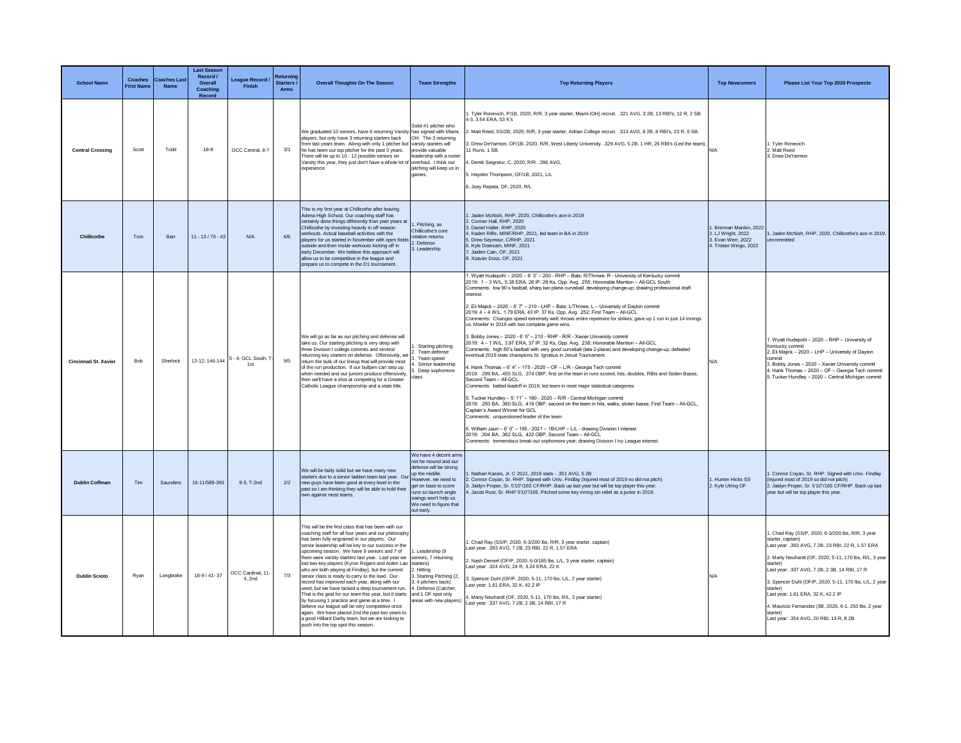| <b>School Name</b>      | <b>Coaches</b><br><b>First Name</b> | <b>Coaches Las</b><br><b>Name</b> | <b>Last Season</b><br>Record /<br>Overall<br>Coaching<br>Record | League Record /<br>Finish                 | Returning<br>Starters /<br><b>Arms</b> | <b>Overall Thoughts On The Season</b>                                                                                                                                                                                                                                                                                                                                                                                                                                                                                                                                                                                                                                                                                                                                                                                                                                                                                              | <b>Team Strengths</b>                                                                                                                                                                                                            | <b>Top Returning Players</b>                                                                                                                                                                                                                                                                                                                                                                                                                                                                                                                                                                                                                                                                                                                                                                                                                                                                                                                                                                                                                                                                                                                                                                                                                                                                                                                                                                                                                                                                                                                                                                                                                                                                                                                                                                                                                      | <b>Top Newcomers</b>                                                                       | Please List Your Top 2020 Prospects                                                                                                                                                                                                                                                                                                                                                                                                                                             |
|-------------------------|-------------------------------------|-----------------------------------|-----------------------------------------------------------------|-------------------------------------------|----------------------------------------|------------------------------------------------------------------------------------------------------------------------------------------------------------------------------------------------------------------------------------------------------------------------------------------------------------------------------------------------------------------------------------------------------------------------------------------------------------------------------------------------------------------------------------------------------------------------------------------------------------------------------------------------------------------------------------------------------------------------------------------------------------------------------------------------------------------------------------------------------------------------------------------------------------------------------------|----------------------------------------------------------------------------------------------------------------------------------------------------------------------------------------------------------------------------------|---------------------------------------------------------------------------------------------------------------------------------------------------------------------------------------------------------------------------------------------------------------------------------------------------------------------------------------------------------------------------------------------------------------------------------------------------------------------------------------------------------------------------------------------------------------------------------------------------------------------------------------------------------------------------------------------------------------------------------------------------------------------------------------------------------------------------------------------------------------------------------------------------------------------------------------------------------------------------------------------------------------------------------------------------------------------------------------------------------------------------------------------------------------------------------------------------------------------------------------------------------------------------------------------------------------------------------------------------------------------------------------------------------------------------------------------------------------------------------------------------------------------------------------------------------------------------------------------------------------------------------------------------------------------------------------------------------------------------------------------------------------------------------------------------------------------------------------------------|--------------------------------------------------------------------------------------------|---------------------------------------------------------------------------------------------------------------------------------------------------------------------------------------------------------------------------------------------------------------------------------------------------------------------------------------------------------------------------------------------------------------------------------------------------------------------------------|
| <b>Central Crossing</b> | Scott                               | Todd                              | 18-9                                                            | OCC Central, 8-7                          | 3/1                                    | We graduated 10 seniors, have 6 returning Varsity has signed with Miami,<br>players, but only have 3 returning starters back<br>from last vears team. Along with only 1 pitcher but varsity starters will<br>he has been our top pitcher for the past 3 years.<br>There will be up to 10 - 12 possible seniors on<br>Varsity this year, they just don't have a whole lot of overhaul. I think our<br>experience.                                                                                                                                                                                                                                                                                                                                                                                                                                                                                                                   | Solid #1 pitcher who<br>OH. The 3 returning<br>provide valuable<br>leadership with a roster<br>pitching will keep us in<br>games.                                                                                                | . Tyler Ronevich, P/1B, 2020, R/R, 3 year starter, Miami (OH) recruit. .321 AVG, 3 2B, 13 RBI's, 12 R, 2 SB.<br>4-3, 3.54 ERA, 53 K's<br>Matt Reed, SS/2B, 2020, R/R, 3 year starter, Adrian College recruit. .313 AVG, 8 2B, 8 RBI's, 23 R, 6 SB.<br>3. Drew DeYarmon, OF/1B, 2020, R/R, West Liberty University. .329 AVG, 5 2B, 1 HR, 26 RBI's (Led the team),<br>11 Runs, 1 SB.<br>. Derek Seigneur, C, 2020, R/R. . 286 AVG,<br>5. Hayden Thompson, OF/1B, 2021, L/L<br>3. Joey Repeta, OF, 2020, R/L                                                                                                                                                                                                                                                                                                                                                                                                                                                                                                                                                                                                                                                                                                                                                                                                                                                                                                                                                                                                                                                                                                                                                                                                                                                                                                                                        | $N/\Delta$                                                                                 | 1. Tyler Ronevich<br>2. Matt Reed<br>3. Drew DeYarmon                                                                                                                                                                                                                                                                                                                                                                                                                           |
| Chillicothe             | Tom                                 | Barr                              | $11 - 13/70 - 43$                                               | N/A                                       | 6/6                                    | This is my first year at Chillicothe after leaving<br>Adena High School. Our coaching staff has<br>certainly done things differently than past years at<br>Chillicothe by investing heavily in off season<br>workouts. Actual baseball activities with the<br>players for us started in November with open fields<br>outside and then inside workouts kicking off in<br>early December. We believe this approach will<br>allow us to be competitive in the league and<br>prepare us to compete in the D1 tournament.                                                                                                                                                                                                                                                                                                                                                                                                               | 1. Pitching, as<br>Chillicothe's core<br>rotation returns<br>2. Defense<br>3. Leadership                                                                                                                                         | . Jaden McNish, RHP, 2020. Chillicothe's ace in 2019<br>2. Conner Hall, RHP, 2020<br>3. Daniel Haller, RHP, 2020<br>1. Kaden Riffe, MINF/RHP, 2021, led team in BA in 2019<br>5. Drew Seymour, C/RHP, 2021<br>Kyle Doersam MINE 2021<br>Jaiden Cain, OF, 2021<br>8. Xzavier Doss, OF, 2021                                                                                                                                                                                                                                                                                                                                                                                                                                                                                                                                                                                                                                                                                                                                                                                                                                                                                                                                                                                                                                                                                                                                                                                                                                                                                                                                                                                                                                                                                                                                                        | Brennan Mankin, 2022<br>2. LJ Wright, 2022<br>3. Evan Werr, 2022<br>4. Tristan Wingo, 2022 | 1. Jaden McNish, RHP, 2020, Chillicothe's ace in 2019,<br>uncommitted                                                                                                                                                                                                                                                                                                                                                                                                           |
| Cincinnati St. Xavier   | <b>Bob</b>                          | Sherlock                          |                                                                 | 13-12; 146-144 5 - 4; GCL South, 1<br>1st | 9/5                                    | We will go as far as our pitching and defense will<br>take us. Our starting pitching is very deep with<br>three Division I college commits and several<br>returning key starters on defense. Offensively, we<br>return the bulk of our lineup that will provide most<br>of the run production. If our bullpen can step up<br>when needed and our juniors produce offensively,<br>then we'll have a shot at competing for a Greater<br>Catholic League championship and a state title.                                                                                                                                                                                                                                                                                                                                                                                                                                              | Starting pitching<br>Team defense<br>3. Team speed<br>Senior leadership<br>. Deep sophomore<br>class                                                                                                                             | . Wyatt Hudepohl - 2020 - 6' 3" - 200 - RHP - Bats: R/Throws: R - University of Kentucky commit<br>2019: 1 - 3 W/L, 5.38 ERA, 26 IP, 29 Ks, Opp. Avg. . 255; Honorable Mention - All-GCL South<br>Comments: low 90's fastball, sharp two plane curveball, developing change-up; drawing professional draft<br>terest<br>2. Eli Majick - 2020 - 6' 7" - 210 - LHP - Bats: L/Throws: L - University of Dayton commit<br>2019: 4 - 4 W/L, 1.79 ERA, 43 IP, 37 Ks, Opp. Avg. . 252; First Team - All-GCL<br>Comments: Changes speed extremely well; throws entire repertoire for strikes; gave up 1 run in just 14 innings<br>vs. Moeller in 2019 with two complete game wins.<br>3. Bobby Jones - 2020 - 6' 5" - 210 - RHP - R/R - Xavier University commit<br>2019: 4 - 1 W/L, 3.97 ERA, 37 IP, 32 Ks, Opp. Avg. . 238; Honorable Mention - All-GCL<br>Comments: high 80's fastball with very good curveball (late 2-plane) and developing change-up; defeated<br>ventual 2019 state champions St. Ignatius in Jesuit Tournament<br>4. Hank Thomas - 6' 4" - 175 - 2020 - OF - L/R - Georgia Tech commit<br>2019: .299 BA, .455 SLG, .374 OBP, first on the team in runs scored, hits, doubles, RBIs and Stolen Bases,<br>Second Team - All-GCL<br>Comments: batted leadoff in 2019; led team in most major statistical categories<br>5. Tucker Hundley - 5' 11" - 180 - 2020 - R/R - Central Michigan commit<br>2019: .293 BA, .360 SLG, .419 OBP, second on the team in hits, walks, stolen bases; First Team - All-GCL,<br>Captain's Award Winner for GCL<br>Comments: unquestioned leader of the team<br>6. William Jaun - 6' 0" - 195 - 2021 - 1B/LHP - L/L - drawing Division I interest<br>2019: .304 BA, .362 SLG, .422 OBP, Second Team - All-GCL<br>Comments: tremendous break-out sophomore year; drawing Division I Ivy League interest | <b>N/A</b>                                                                                 | 1. Wyatt Hudepohl - 2020 - RHP - University of<br>Kentucky commit<br>2. Eli Majick - 2020 - LHP - University of Dayton<br>commit<br>3. Bobby Jones - 2020 - Xavier University commit<br>4. Hank Thomas - 2020 - OF - Georgia Tech commit<br>5. Tucker Hundley - 2020 - Central Michigan commit                                                                                                                                                                                  |
| <b>Dublin Coffman</b>   | Tim.                                | Saunders                          | 16-11/589-393                                                   | 9-5. T-2nd                                | 2/2                                    | We will be fairly solid but we have many new<br>starters due to a senior ladden team last year. Our<br>new guys have been good at every level in the<br>past so I am thinking they will be able to hold their<br>own against most teams                                                                                                                                                                                                                                                                                                                                                                                                                                                                                                                                                                                                                                                                                            | We have 4 decent arms<br>not he mound and our<br>defense will be strong<br>up the middle.<br>However, we need to<br>get on base to score<br>runs so launch angle<br>swings won't help us.<br>We need to figure that<br>out early | Nathan Kassis, Jr. C 2021, 2019 stats - .351 AVG, 5 2B<br>. Connor Coyan, Sr. RHP. Signed with Univ. Findlay (Injured most of 2019 so did not pitch)<br>Jaidyn Proper, Sr. 5'10"/165 CF/RHP. Back up last year but will be top player this year.<br>Jacob Rust, Sr. RHP 5'10"/165. Pitched some key inning sin relief as a junior in 2019.                                                                                                                                                                                                                                                                                                                                                                                                                                                                                                                                                                                                                                                                                                                                                                                                                                                                                                                                                                                                                                                                                                                                                                                                                                                                                                                                                                                                                                                                                                        | Hunter Hicks SS<br>2. Kyle Ulring OF                                                       | . Connor Coyan, Sr. RHP. Signed with Univ. Findlay<br>(Injured most of 2019 so did not pitch)<br>2. Jaidyn Proper, Sr. 5'10"/165 CF/RHP. Back up last<br>year but will be top player this year.                                                                                                                                                                                                                                                                                 |
| <b>Dublin Scioto</b>    | Ryan                                | Longbrake                         | 18-9 / 41-37                                                    | OCC Cardinal, 11<br>4.2nd                 | 7/3                                    | This will be the first class that has been with our<br>coaching staff for all four years and our philosoph<br>has been fully engrained in our players. Our<br>senior leadership will be key to our success in the<br>upcoming season. We have 9 seniors and 7 of<br>them were varsity starters last year. Last year we seniors, 7 returning<br>lost two key players (Kyron Rogers and Aiden Lao Starters)<br>who are both playing at Findlay), but the current<br>senior class is ready to carry to the load. Our<br>record has improved each year, along with our<br>seed, but we have lacked a deep tournament run.<br>That is the goal for our team this year, but it starts<br>by focusing 1 practice and game at a time. I<br>believe our league will be very competitive once<br>again. We have placed 2nd the past two years to<br>a good Hilliard Darby team, but we are looking to<br>push into the top spot this season. | 1. Leadership (9<br>2. Hitting<br>. Starting Pitching (2,<br>3, 4 pitchers back)<br>4. Defense (Catcher.<br>and 1 OF spot only<br>areas with new players)                                                                        | . Chad Ray (SS/P, 2020, 6-3/200 lbs, R/R, 3 year starter, captain)<br>ast year: .393 AVG, 7 2B, 23 RBI, 22 R, 1.57 ERA<br>2. Nash Densel (OF/P, 2020, 6-0/185 lbs, L/L, 3 year starter, captain)<br>Last year: .324 AVG, 24 R, 3.24 ERA, 22 K<br>Spencer Duhl (OF/P, 2020, 5-11, 170 lbs, L/L, 2 year starter)<br>Last year: 1.61 ERA, 32 K, 42.2 IP<br>4. Marty Neuhardt (OF, 2020, 5-11, 170 lbs, R/L, 3 year starter)<br>Last year: .337 AVG, 7 2B, 2 3B, 14 RBI, 17 R                                                                                                                                                                                                                                                                                                                                                                                                                                                                                                                                                                                                                                                                                                                                                                                                                                                                                                                                                                                                                                                                                                                                                                                                                                                                                                                                                                         | N/A                                                                                        | 1. Chad Ray (SS/P, 2020, 6-3/200 lbs, R/R, 3 year<br>starter, captain)<br>Last year: .393 AVG, 7 2B, 23 RBI, 22 R, 1.57 ERA<br>2. Marty Neuhardt (OF, 2020, 5-11, 170 lbs, R/L, 3 year<br>starter<br>Last year: .337 AVG, 7 2B, 2 3B, 14 RBI, 17 R<br>3. Spencer Duhl (OF/P, 2020, 5-11, 170 lbs, L/L, 2 year<br>starter)<br>Last year: 1.61 ERA, 32 K, 42.2 IP<br>4. Mauricio Fernandez (3B, 2020, 6-1, 250 lbs, 2 year<br>starter)<br>Last year: .354 AVG, 20 RBI, 13 R, 8 2B |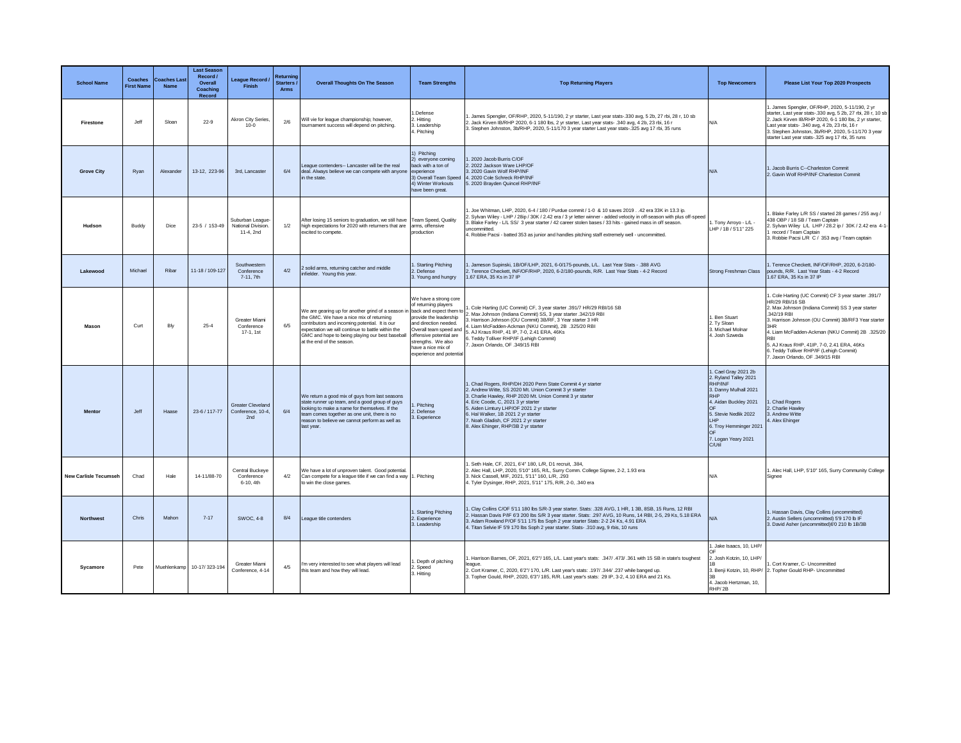| <b>School Name</b>           | Coaches<br><b>First Name</b> | <b>Coaches Last</b><br><b>Name</b> | <b>Last Season</b><br>Record /<br>Overall<br>Coaching<br>Record | League Record /<br>Finish                            | Returning<br>Starters<br>Arms | <b>Overall Thoughts On The Season</b>                                                                                                                                                                                                                                                                         | <b>Team Strengths</b>                                                                                                                                                                                                         | <b>Top Returning Players</b>                                                                                                                                                                                                                                                                                                                                                                                                                         | <b>Top Newcomers</b>                                                                                                                                                                                                            | Please List Your Top 2020 Prospects                                                                                                                                                                                                                                                                                                                                                              |
|------------------------------|------------------------------|------------------------------------|-----------------------------------------------------------------|------------------------------------------------------|-------------------------------|---------------------------------------------------------------------------------------------------------------------------------------------------------------------------------------------------------------------------------------------------------------------------------------------------------------|-------------------------------------------------------------------------------------------------------------------------------------------------------------------------------------------------------------------------------|------------------------------------------------------------------------------------------------------------------------------------------------------------------------------------------------------------------------------------------------------------------------------------------------------------------------------------------------------------------------------------------------------------------------------------------------------|---------------------------------------------------------------------------------------------------------------------------------------------------------------------------------------------------------------------------------|--------------------------------------------------------------------------------------------------------------------------------------------------------------------------------------------------------------------------------------------------------------------------------------------------------------------------------------------------------------------------------------------------|
| Firestone                    | Jeff                         | Sloan                              | $22 - 9$                                                        | Akron City Series,<br>$10 - 0$                       | 2/6                           | Will vie for league championship; however,<br>tournament success will depend on pitching.                                                                                                                                                                                                                     | 1.Defense<br>2. Hitting<br>3. Leadership<br>4. Pitching                                                                                                                                                                       | . James Spengler, OF/RHP, 2020, 5-11/190, 2 yr starter, Last year stats-.330 avg, 5 2b, 27 rbi, 28 r, 10 sb<br>2. Jack Kirven IB/RHP 2020, 6-1 180 lbs, 2 yr starter, Last year stats- .340 avg, 4 2b, 23 rbi, 16 r<br>3. Stephen Johnston, 3b/RHP, 2020, 5-11/170 3 year starter Last year stats-.325 avg 17 rbi, 35 runs                                                                                                                           | N/A                                                                                                                                                                                                                             | I. James Spengler, OF/RHP, 2020, 5-11/190, 2 yr<br>starter, Last year stats-.330 avg, 5 2b, 27 rbi, 28 r, 10 sb<br>2. Jack Kirven IB/RHP 2020, 6-1 180 lbs, 2 yr starter,<br>Last year stats- .340 avg, 4 2b, 23 rbi, 16 r<br>3. Stephen Johnston, 3b/RHP, 2020, 5-11/170 3 year<br>starter Last year stats-.325 avg 17 rbi, 35 runs                                                             |
| <b>Grove City</b>            | Ryan                         | Alexander                          | 13-12, 223-96                                                   | 3rd, Lancaster                                       | 6/4                           | eague contenders- Lancaster will be the real<br>deal. Always believe we can compete with anyone<br>in the state.                                                                                                                                                                                              | 1) Pitching<br>2) everyone coming<br>back with a ton of<br>experience<br>3) Overall Team Speed<br>4) Winter Workouts<br>have been great.                                                                                      | 1. 2020 Jacob Burris C/OF<br>2. 2022 Jackson Ware LHP/OF<br>3. 2020 Gavin Wolf RHP/INF<br>4. 2020 Cole Schreck RHP/INF<br>5. 2020 Brayden Quincel RHP/INF                                                                                                                                                                                                                                                                                            | <b>N/A</b>                                                                                                                                                                                                                      | 1. Jacob Burris C--Charleston Commit<br>2. Gavin Wolf RHP/INF Charleston Commit                                                                                                                                                                                                                                                                                                                  |
| Hudson                       | Buddy                        | Dice                               | 23-5 / 153-49                                                   | Suburban League<br>National Division<br>11-4, 2nd    | 1/2                           | After losing 15 seniors to graduation, we still have Team Speed, Quality<br>high expectations for 2020 with returners that are<br>excited to compete                                                                                                                                                          | arms, offensive<br>production                                                                                                                                                                                                 | . Joe Whitman, LHP, 2020, 6-4 / 180 / Purdue commit / 1-0 & 10 saves 201942 era 33K in 13.3 ip.<br>2. Sylvan Wiley - LHP / 28ip / 30K / 2.42 era / 3 yr letter winner - added velocity in off-season with plus off-speed<br>Blake Farley - L/L SS/ 3 year starter / 42 career stolen bases / 33 hits - gained mass in off season.<br>uncommitted.<br>4. Robbie Pacsi - batted 353 as junior and handles pitching staff extremely well - uncommitted. | . Tony Arroyo - L/L -<br>LHP / 1B / 5'11" 225                                                                                                                                                                                   | . Blake Farley L/R SS / started 28 games / 255 avg /<br>438 OBP / 18 SB / Team Captain<br>2. Sylvan Wiley L/L LHP / 28.2 ip / 30K / 2.42 era 4-1-<br>record / Team Captain<br>3. Robbie Pacsi L/R C / 353 avg / Team captain                                                                                                                                                                     |
| Lakewood                     | Michael                      | Ribar                              | 11-18 / 109-127                                                 | Southwestern<br>Conference<br>7-11, 7th              | 4/2                           | 2 solid arms, returning catcher and middle<br>infielder. Young this year.                                                                                                                                                                                                                                     | 1. Starting Pitching<br>2. Defense<br>3. Young and hungry                                                                                                                                                                     | 1. Jameson Supinski, 1B/OF/LHP, 2021, 6-0/175-pounds, L/L. Last Year Stats - .388 AVG<br>2. Terence Checkett, INF/OF/RHP, 2020, 6-2/180-pounds, R/R. Last Year Stats - 4-2 Record<br>1.67 ERA, 35 Ks in 37 IP                                                                                                                                                                                                                                        | Strong Freshman Class                                                                                                                                                                                                           | 1. Terence Checkett, INF/OF/RHP, 2020, 6-2/180-<br>pounds, R/R. Last Year Stats - 4-2 Record<br>1.67 ERA, 35 Ks in 37 IP                                                                                                                                                                                                                                                                         |
| Mason                        | Curt                         | Bly                                | $25 - 4$                                                        | Greater Miami<br>Conference<br>17-1, 1st             | 6/5                           | We are gearing up for another grind of a season in back and expect them to<br>the GMC. We have a nice mix of returning<br>contributors and incoming potential. It is our<br>expectation we will continue to battle within the<br>GMC and hope to being playing our best baseball<br>at the end of the season. | We have a strong core<br>of returning players<br>provide the leadership<br>and direction needed.<br>Overall team speed and<br>offensive potential are<br>strengths. We also<br>have a nice mix of<br>experience and potential | . Cole Harting (UC Commit) CF, 3 year starter .391/7 HR/29 RBI/16 SB<br>Max Johnson (Indiana Commit) SS, 3 year starter .342/19 RBI<br>Harrison Johnson (OU Commit) 3B/RF, 3 Year starter 3 HR<br>. Liam McFadden-Ackman (NKU Commit), 2B .325/20 RBI<br>5. AJ Kraus RHP, 41 IP, 7-0, 2.41 ERA, 46Ks<br>6. Teddy Tolliver RHP/IF (Lehigh Commit)<br>7. Jaxon Orlando, OF .349/15 RBI                                                                 | Ben Stuart<br>2. Ty Sloan<br>3. Michael Molnar<br>4. Josh Szweda                                                                                                                                                                | 1. Cole Harting (UC Commit) CF 3 year starter .391/7<br>HR/29 RBI/16 SB<br>2. Max Johnson (Indiana Commit) SS 3 year starter<br>342/19 RBI<br>3. Harrison Johnson (OU Commit) 3B/RF3 Year starter<br>3HR<br>4. Liam McFadden-Ackman (NKU Commit) 2B .325/20<br>RBI<br>5. AJ Kraus RHP, 41IP, 7-0, 2.41 ERA, 46Ks<br>6. Teddy Tolliver RHP/IF (Lehigh Commit)<br>7. Jaxon Orlando, OF .349/15 RBI |
| Mentor                       | Jeff                         | Haase                              | 23-6 / 117-77                                                   | <b>Greater Cleveland</b><br>Conference, 10-4.<br>2nd | 6/4                           | We return a good mix of guys from last seasons<br>state runner up team, and a good group of guys<br>looking to make a name for themselves. If the<br>team comes together as one unit, there is no<br>reason to believe we cannot perform as well as<br>last year.                                             | . Pitching<br>2. Defense<br>3. Experience                                                                                                                                                                                     | Chad Rogers, RHP/DH 2020 Penn State Commit 4 yr starter<br>2. Andrew Witte, SS 2020 Mt. Union Commit 3 vr starter<br>3. Charlie Hawley, RHP 2020 Mt. Union Commit 3 yr starter<br>4. Eric Coode, C, 2021 3 yr starter<br>5. Aiden Limtury LHP/OF 2021 2 yr starter<br>6. Hal Walker, 1B 2021 2 yr starter<br>7. Noah Gladish, CF 2021 2 vr starter<br>8. Alex Ehinger, RHP/3B 2 yr starter                                                           | Cael Gray 2021 2b<br>2. Ryland Talley 2021<br><b>RHP/INF</b><br>3. Danny Mulhall 2021<br>RHP<br>4. Aidan Buckley 2021<br>5. Stevie Nedlik 2022<br><b>I HP</b><br>6. Troy Hemminger 2021<br>7. Logan Yeary 2021<br><b>C/Util</b> | 1. Chad Rogers<br>2. Charlie Hawley<br>3. Andrew Witte<br>4. Alex Ehinger                                                                                                                                                                                                                                                                                                                        |
| <b>New Carlisle Tecumseh</b> | Chad                         | Hale                               | 14-11/88-70                                                     | Central Buckeye<br>Conference<br>6-10, 4th           | 4/2                           | We have a lot of unproven talent. Good potential.<br>Can compete for a league title if we can find a way 1. Pitching<br>to win the close games.                                                                                                                                                               |                                                                                                                                                                                                                               | Seth Hale, CF, 2021, 6'4" 180, L/R, D1 recruit, .384,<br>2. Alec Hall, LHP, 2020, 5'10" 165, R/L, Surry Comm. College Signee, 2-2, 1.93 era<br>3. Nick Cassell, MIF, 2021, 5'11" 160, L/R, .293<br>4. Tyler Dysinger, RHP, 2021, 5'11" 175, R/R, 2-0, .340 era                                                                                                                                                                                       | N/A                                                                                                                                                                                                                             | 1. Alec Hall, LHP, 5'10" 165, Surry Community College<br>Signee                                                                                                                                                                                                                                                                                                                                  |
| <b>Northwest</b>             | Chris                        | Mahon                              | $7 - 17$                                                        | <b>SWOC. 4-8</b>                                     | 8/4                           | League title contenders                                                                                                                                                                                                                                                                                       | 1. Starting Pitching<br>2. Experience<br>3. Leadership                                                                                                                                                                        | Clay Collins C/OF 5'11 180 lbs S/R-3 year starter. Stats: .328 AVG, 1 HR, 1 3B, 8SB, 15 Runs, 12 RBI<br>2. Hassan Davis P/IF 6'3 200 lbs S/R 3 year starter, Stats: .297 AVG, 10 Runs, 14 RBI, 2-5, 29 Ks, 5,18 ERA<br>3. Adam Rowland P/OF 5'11 175 lbs Soph 2 year starter Stats: 2-2 24 Ks, 4.91 ERA<br>4. Titan Selvie IF 5'9 170 lbs Soph 2 year starter. Stats- .310 avg, 9 rbis, 10 runs                                                      | <b>N/A</b>                                                                                                                                                                                                                      | 1. Hassan Davis, Clay Collins (uncommitted)<br>2. Austin Sellers (uncommitted) 5'9 170 lb IF<br>3. David Asher (uncommitted)6'0 210 lb 1B/3B                                                                                                                                                                                                                                                     |
| Svcamore                     | Pete                         |                                    | Muehlenkamp 10-17/323-194                                       | <b>Greater Miami</b><br>Conference, 4-14             | 4/5                           | I'm very interested to see what players will lead<br>this team and how they will lead.                                                                                                                                                                                                                        | . Depth of pitching<br>2. Speed<br>3. Hitting                                                                                                                                                                                 | . Harrison Barnes, OF, 2021, 6'2"/ 165, L/L. Last year's stats: .347/ .473/ .361 with 15 SB in state's toughest<br>league<br>2. Cort Kramer, C, 2020, 6'2"/ 170, L/R. Last year's stats: .197/ .344/ .237 while banged up.<br>3. Topher Gould, RHP, 2020, 6'3"/ 185, R/R. Last year's stats: 29 IP, 3-2, 4.10 ERA and 21 Ks.                                                                                                                         | . Jake Isaacs, 10, LHP/<br>2. Josh Kotzin, 10, LHP/<br>3. Benji Kotzin, 10, RHP/<br>4. Jacob Hertzman, 10.<br>RHP/2B                                                                                                            | Cort Kramer, C- Uncommitted<br>2. Topher Gould RHP- Uncommitted                                                                                                                                                                                                                                                                                                                                  |